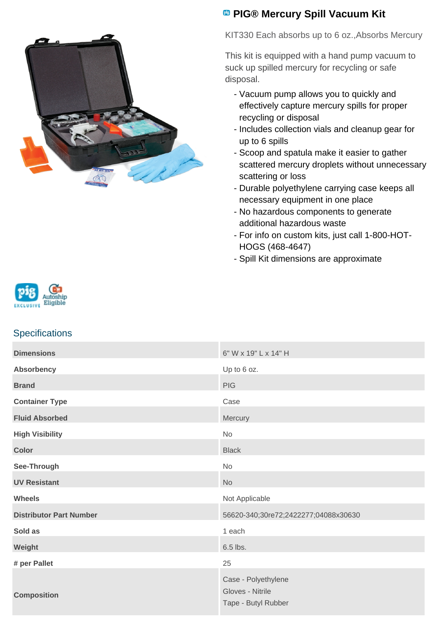

# **<sup><b>B</sup>** PIG® Mercury Spill Vacuum Kit</sup>

KIT330 Each absorbs up to 6 oz.,Absorbs Mercury

This kit is equipped with a hand pump vacuum to suck up spilled mercury for recycling or safe disposal.

- Vacuum pump allows you to quickly and effectively capture mercury spills for proper recycling or disposal
- Includes collection vials and cleanup gear for up to 6 spills
- Scoop and spatula make it easier to gather scattered mercury droplets without unnecessary scattering or loss
- Durable polyethylene carrying case keeps all necessary equipment in one place
- No hazardous components to generate additional hazardous waste
- For info on custom kits, just call 1-800-HOT-HOGS (468-4647)
- Spill Kit dimensions are approximate



## **Specifications**

| <b>Dimensions</b>              | 6" W x 19" L x 14" H                                           |
|--------------------------------|----------------------------------------------------------------|
| <b>Absorbency</b>              | Up to 6 oz.                                                    |
| <b>Brand</b>                   | <b>PIG</b>                                                     |
| <b>Container Type</b>          | Case                                                           |
| <b>Fluid Absorbed</b>          | Mercury                                                        |
| <b>High Visibility</b>         | No                                                             |
| <b>Color</b>                   | <b>Black</b>                                                   |
| See-Through                    | <b>No</b>                                                      |
| <b>UV Resistant</b>            | <b>No</b>                                                      |
| <b>Wheels</b>                  | Not Applicable                                                 |
| <b>Distributor Part Number</b> | 56620-340;30re72;2422277;04088x30630                           |
| Sold as                        | 1 each                                                         |
| Weight                         | 6.5 lbs.                                                       |
| # per Pallet                   | 25                                                             |
| <b>Composition</b>             | Case - Polyethylene<br>Gloves - Nitrile<br>Tape - Butyl Rubber |